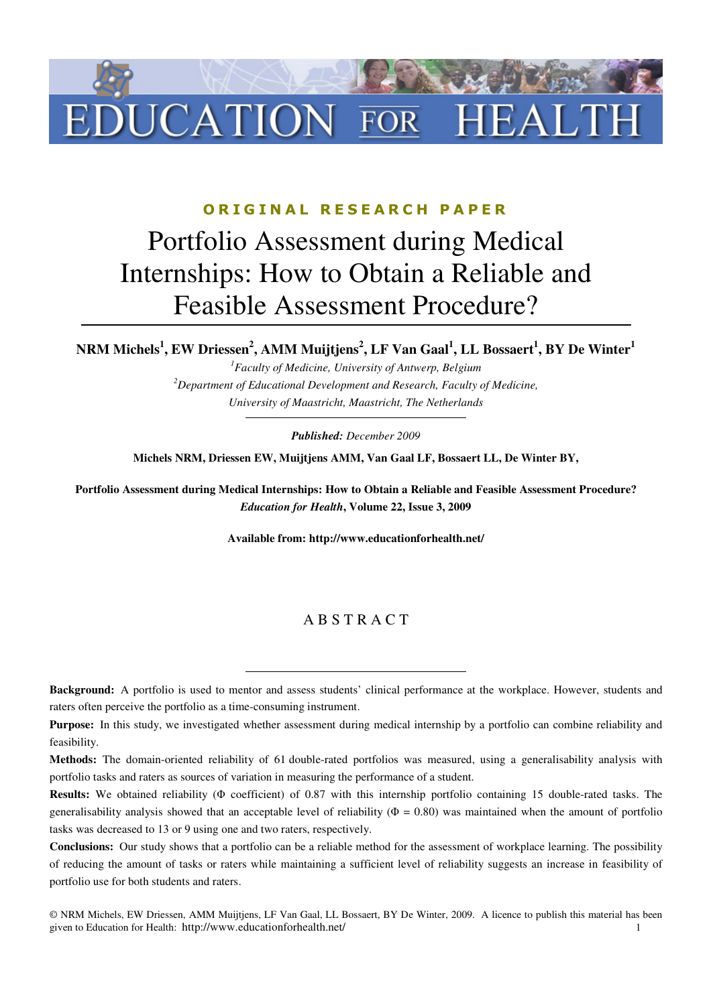

### ORIGINAL RESEARCH PAPER

# Portfolio Assessment during Medical Internships: How to Obtain a Reliable and Feasible Assessment Procedure?

**NRM Michels<sup>1</sup> , EW Driessen<sup>2</sup> , AMM Muijtjens<sup>2</sup> , LF Van Gaal<sup>1</sup> , LL Bossaert<sup>1</sup> , BY De Winter<sup>1</sup>**

*<sup>1</sup>Faculty of Medicine, University of Antwerp, Belgium <sup>2</sup>Department of Educational Development and Research, Faculty of Medicine, University of Maastricht, Maastricht, The Netherlands* 

*Published: December 2009* 

**Michels NRM, Driessen EW, Muijtjens AMM, Van Gaal LF, Bossaert LL, De Winter BY,** 

**Portfolio Assessment during Medical Internships: How to Obtain a Reliable and Feasible Assessment Procedure?**  *Education for Health***, Volume 22, Issue 3, 2009** 

**Available from: http://www.educationforhealth.net/** 

### A B S T R A C T

**Background:** A portfolio is used to mentor and assess students' clinical performance at the workplace. However, students and raters often perceive the portfolio as a time-consuming instrument.

**Purpose:** In this study, we investigated whether assessment during medical internship by a portfolio can combine reliability and feasibility.

**Methods:** The domain-oriented reliability of 61 double-rated portfolios was measured, using a generalisability analysis with portfolio tasks and raters as sources of variation in measuring the performance of a student.

**Results:** We obtained reliability (Φ coefficient) of 0.87 with this internship portfolio containing 15 double-rated tasks. The generalisability analysis showed that an acceptable level of reliability ( $\Phi = 0.80$ ) was maintained when the amount of portfolio tasks was decreased to 13 or 9 using one and two raters, respectively.

**Conclusions:** Our study shows that a portfolio can be a reliable method for the assessment of workplace learning. The possibility of reducing the amount of tasks or raters while maintaining a sufficient level of reliability suggests an increase in feasibility of portfolio use for both students and raters.

<sup>©</sup> NRM Michels, EW Driessen, AMM Muijtjens, LF Van Gaal, LL Bossaert, BY De Winter, 2009. A licence to publish this material has been given to Education for Health: http://www.educationforhealth.net/ 1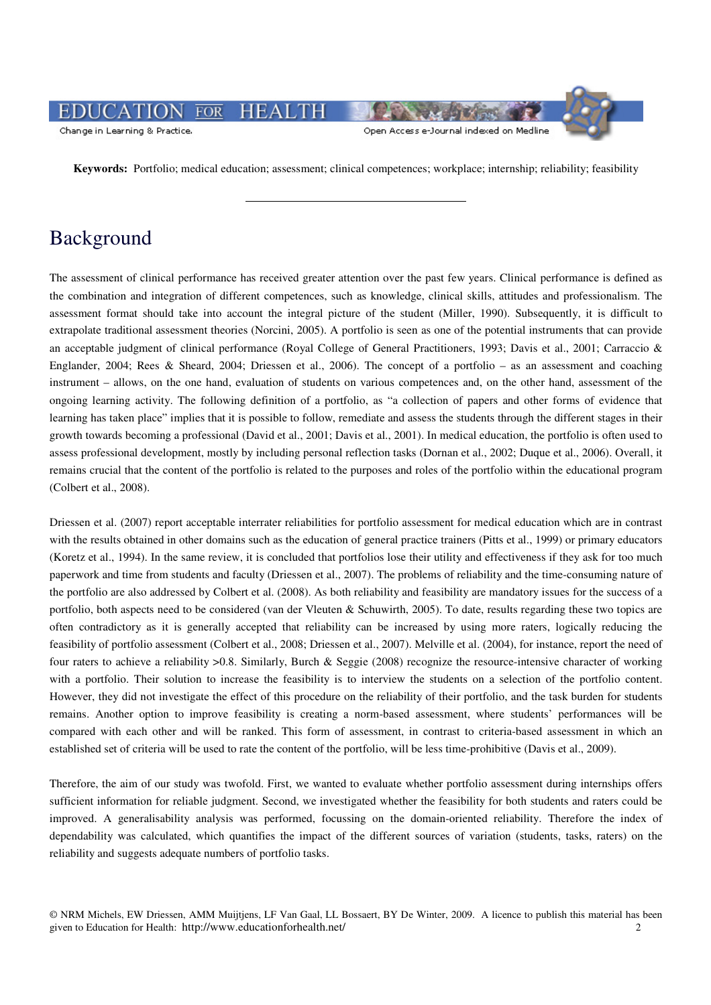#### **HEALTH**  $\overline{FOR}$ JCATIO Open Access e-Journal indexed on Medline Change in Learning & Practice.

**Keywords:** Portfolio; medical education; assessment; clinical competences; workplace; internship; reliability; feasibility

## Background

The assessment of clinical performance has received greater attention over the past few years. Clinical performance is defined as the combination and integration of different competences, such as knowledge, clinical skills, attitudes and professionalism. The assessment format should take into account the integral picture of the student (Miller, 1990). Subsequently, it is difficult to extrapolate traditional assessment theories (Norcini, 2005). A portfolio is seen as one of the potential instruments that can provide an acceptable judgment of clinical performance (Royal College of General Practitioners, 1993; Davis et al., 2001; Carraccio & Englander, 2004; Rees & Sheard, 2004; Driessen et al., 2006). The concept of a portfolio – as an assessment and coaching instrument – allows, on the one hand, evaluation of students on various competences and, on the other hand, assessment of the ongoing learning activity. The following definition of a portfolio, as "a collection of papers and other forms of evidence that learning has taken place" implies that it is possible to follow, remediate and assess the students through the different stages in their growth towards becoming a professional (David et al., 2001; Davis et al., 2001). In medical education, the portfolio is often used to assess professional development, mostly by including personal reflection tasks (Dornan et al., 2002; Duque et al., 2006). Overall, it remains crucial that the content of the portfolio is related to the purposes and roles of the portfolio within the educational program (Colbert et al., 2008).

Driessen et al. (2007) report acceptable interrater reliabilities for portfolio assessment for medical education which are in contrast with the results obtained in other domains such as the education of general practice trainers (Pitts et al., 1999) or primary educators (Koretz et al., 1994). In the same review, it is concluded that portfolios lose their utility and effectiveness if they ask for too much paperwork and time from students and faculty (Driessen et al., 2007). The problems of reliability and the time-consuming nature of the portfolio are also addressed by Colbert et al. (2008). As both reliability and feasibility are mandatory issues for the success of a portfolio, both aspects need to be considered (van der Vleuten & Schuwirth, 2005). To date, results regarding these two topics are often contradictory as it is generally accepted that reliability can be increased by using more raters, logically reducing the feasibility of portfolio assessment (Colbert et al., 2008; Driessen et al., 2007). Melville et al. (2004), for instance, report the need of four raters to achieve a reliability >0.8. Similarly, Burch & Seggie (2008) recognize the resource-intensive character of working with a portfolio. Their solution to increase the feasibility is to interview the students on a selection of the portfolio content. However, they did not investigate the effect of this procedure on the reliability of their portfolio, and the task burden for students remains. Another option to improve feasibility is creating a norm-based assessment, where students' performances will be compared with each other and will be ranked. This form of assessment, in contrast to criteria-based assessment in which an established set of criteria will be used to rate the content of the portfolio, will be less time-prohibitive (Davis et al., 2009).

Therefore, the aim of our study was twofold. First, we wanted to evaluate whether portfolio assessment during internships offers sufficient information for reliable judgment. Second, we investigated whether the feasibility for both students and raters could be improved. A generalisability analysis was performed, focussing on the domain-oriented reliability. Therefore the index of dependability was calculated, which quantifies the impact of the different sources of variation (students, tasks, raters) on the reliability and suggests adequate numbers of portfolio tasks.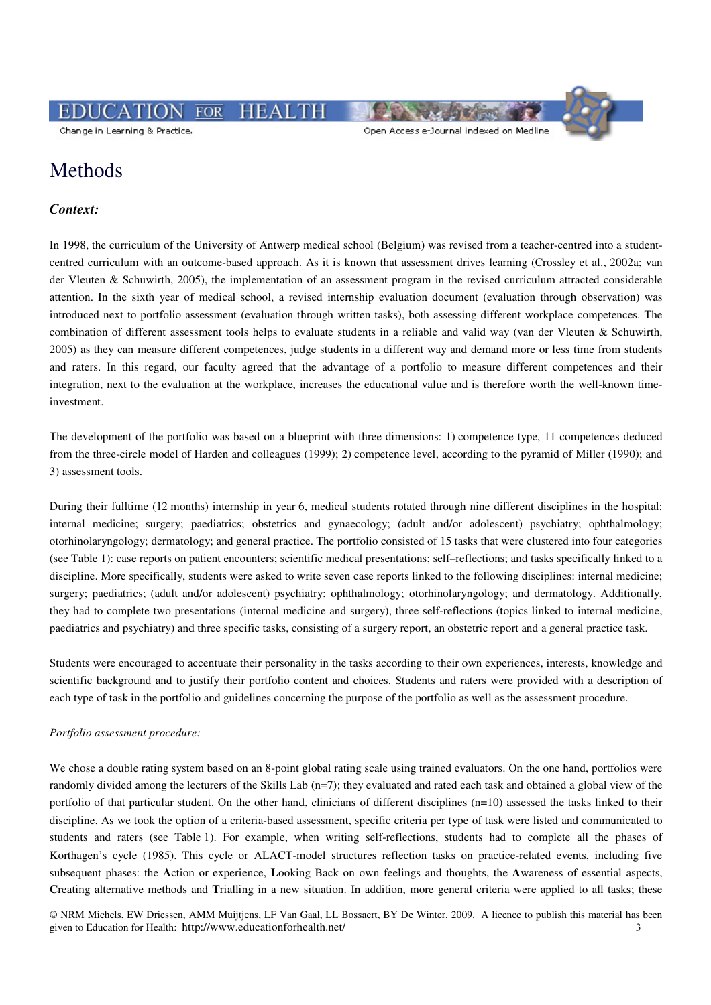**HEALTH**  $\overline{FOR}$ CATIO

Change in Learning & Practice.

```
Open Access e-Journal indexed on Medline
```
### Methods

#### *Context:*

In 1998, the curriculum of the University of Antwerp medical school (Belgium) was revised from a teacher-centred into a studentcentred curriculum with an outcome-based approach. As it is known that assessment drives learning (Crossley et al., 2002a; van der Vleuten & Schuwirth, 2005), the implementation of an assessment program in the revised curriculum attracted considerable attention. In the sixth year of medical school, a revised internship evaluation document (evaluation through observation) was introduced next to portfolio assessment (evaluation through written tasks), both assessing different workplace competences. The combination of different assessment tools helps to evaluate students in a reliable and valid way (van der Vleuten & Schuwirth, 2005) as they can measure different competences, judge students in a different way and demand more or less time from students and raters. In this regard, our faculty agreed that the advantage of a portfolio to measure different competences and their integration, next to the evaluation at the workplace, increases the educational value and is therefore worth the well-known timeinvestment.

The development of the portfolio was based on a blueprint with three dimensions: 1) competence type, 11 competences deduced from the three-circle model of Harden and colleagues (1999); 2) competence level, according to the pyramid of Miller (1990); and 3) assessment tools.

During their fulltime (12 months) internship in year 6, medical students rotated through nine different disciplines in the hospital: internal medicine; surgery; paediatrics; obstetrics and gynaecology; (adult and/or adolescent) psychiatry; ophthalmology; otorhinolaryngology; dermatology; and general practice. The portfolio consisted of 15 tasks that were clustered into four categories (see Table 1): case reports on patient encounters; scientific medical presentations; self–reflections; and tasks specifically linked to a discipline. More specifically, students were asked to write seven case reports linked to the following disciplines: internal medicine; surgery; paediatrics; (adult and/or adolescent) psychiatry; ophthalmology; otorhinolaryngology; and dermatology. Additionally, they had to complete two presentations (internal medicine and surgery), three self-reflections (topics linked to internal medicine, paediatrics and psychiatry) and three specific tasks, consisting of a surgery report, an obstetric report and a general practice task.

Students were encouraged to accentuate their personality in the tasks according to their own experiences, interests, knowledge and scientific background and to justify their portfolio content and choices. Students and raters were provided with a description of each type of task in the portfolio and guidelines concerning the purpose of the portfolio as well as the assessment procedure.

#### *Portfolio assessment procedure:*

We chose a double rating system based on an 8-point global rating scale using trained evaluators. On the one hand, portfolios were randomly divided among the lecturers of the Skills Lab (n=7); they evaluated and rated each task and obtained a global view of the portfolio of that particular student. On the other hand, clinicians of different disciplines (n=10) assessed the tasks linked to their discipline. As we took the option of a criteria-based assessment, specific criteria per type of task were listed and communicated to students and raters (see Table 1). For example, when writing self-reflections, students had to complete all the phases of Korthagen's cycle (1985). This cycle or ALACT-model structures reflection tasks on practice-related events, including five subsequent phases: the **A**ction or experience, **L**ooking Back on own feelings and thoughts, the **A**wareness of essential aspects, **C**reating alternative methods and **T**rialling in a new situation. In addition, more general criteria were applied to all tasks; these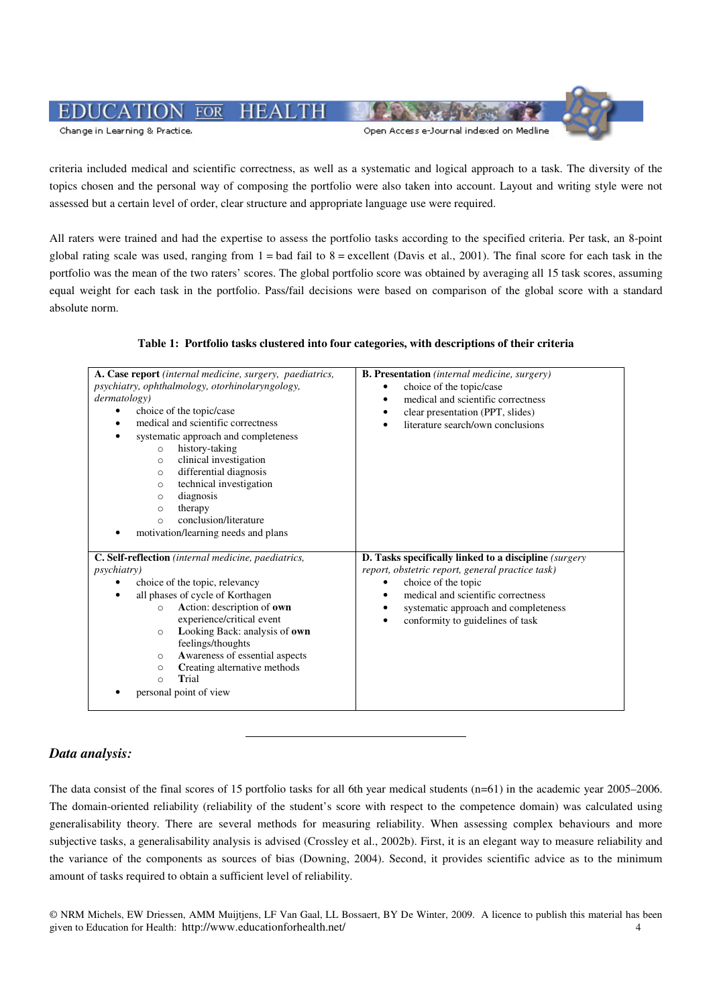#### $\overline{FOR}$ **HEALTH** 'ATIO Open Access e-Journal indexed on Medline Change in Learning & Practice.

criteria included medical and scientific correctness, as well as a systematic and logical approach to a task. The diversity of the topics chosen and the personal way of composing the portfolio were also taken into account. Layout and writing style were not assessed but a certain level of order, clear structure and appropriate language use were required.

All raters were trained and had the expertise to assess the portfolio tasks according to the specified criteria. Per task, an 8-point global rating scale was used, ranging from  $1 =$  bad fail to  $8 =$  excellent (Davis et al., 2001). The final score for each task in the portfolio was the mean of the two raters' scores. The global portfolio score was obtained by averaging all 15 task scores, assuming equal weight for each task in the portfolio. Pass/fail decisions were based on comparison of the global score with a standard absolute norm.

#### **Table 1: Portfolio tasks clustered into four categories, with descriptions of their criteria**

| A. Case report (internal medicine, surgery, paediatrics,<br>psychiatry, ophthalmology, otorhinolaryngology,<br>dermatology)<br>choice of the topic/case<br>medical and scientific correctness<br>systematic approach and completeness<br>history-taking<br>$\circ$<br>clinical investigation<br>$\circ$<br>differential diagnosis<br>$\circ$<br>technical investigation<br>$\circ$<br>diagnosis<br>O<br>therapy<br>$\circ$<br>conclusion/literature<br>$\circ$<br>motivation/learning needs and plans | <b>B. Presentation</b> (internal medicine, surgery)<br>choice of the topic/case<br>medical and scientific correctness<br>clear presentation (PPT, slides)<br>literature search/own conclusions<br>$\bullet$                                                         |  |  |  |  |  |
|-------------------------------------------------------------------------------------------------------------------------------------------------------------------------------------------------------------------------------------------------------------------------------------------------------------------------------------------------------------------------------------------------------------------------------------------------------------------------------------------------------|---------------------------------------------------------------------------------------------------------------------------------------------------------------------------------------------------------------------------------------------------------------------|--|--|--|--|--|
| C. Self-reflection (internal medicine, paediatrics,<br><i>psychiatry</i> )<br>choice of the topic, relevancy<br>all phases of cycle of Korthagen<br>Action: description of own<br>$\Omega$<br>experience/critical event<br>Looking Back: analysis of own<br>$\circ$<br>feelings/thoughts<br>Awareness of essential aspects<br>$\circ$<br>Creating alternative methods<br>$\circ$<br>Trial<br>$\circ$<br>personal point of view                                                                        | <b>D. Tasks specifically linked to a discipline</b> (surgery<br>report, obstetric report, general practice task)<br>choice of the topic<br>٠<br>medical and scientific correctness<br>٠<br>systematic approach and completeness<br>conformity to guidelines of task |  |  |  |  |  |

#### *Data analysis:*

The data consist of the final scores of 15 portfolio tasks for all 6th year medical students (n=61) in the academic year 2005–2006. The domain-oriented reliability (reliability of the student's score with respect to the competence domain) was calculated using generalisability theory. There are several methods for measuring reliability. When assessing complex behaviours and more subjective tasks, a generalisability analysis is advised (Crossley et al., 2002b). First, it is an elegant way to measure reliability and the variance of the components as sources of bias (Downing, 2004). Second, it provides scientific advice as to the minimum amount of tasks required to obtain a sufficient level of reliability.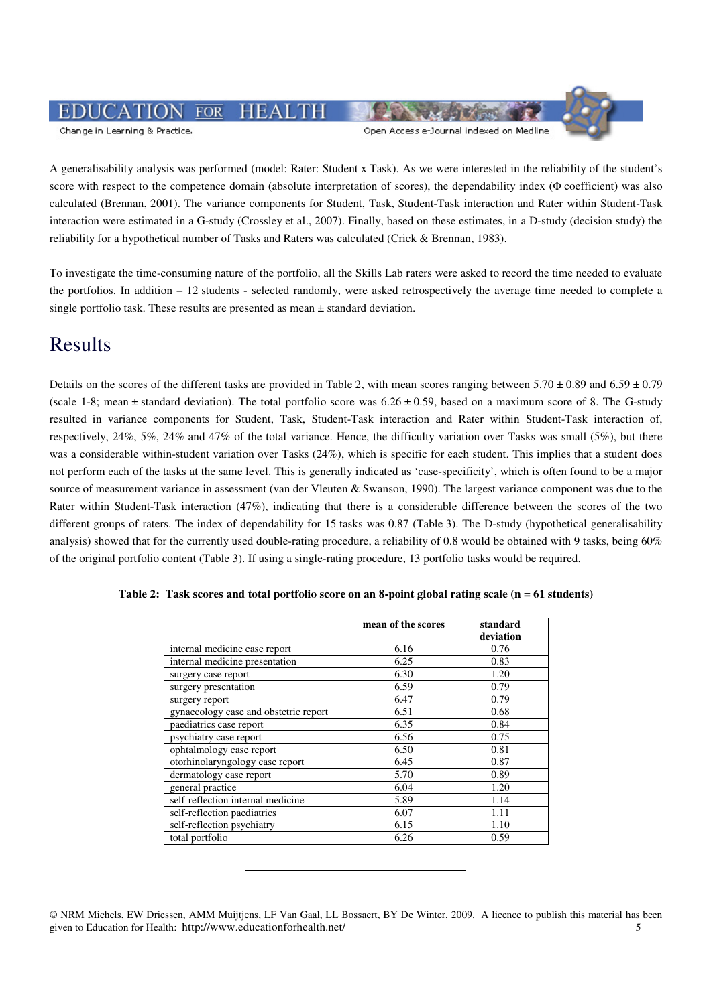#### $\overline{FOR}$ **HEALTH** Change in Learning & Practice. Open Access e-Journal indexed on Medline

A generalisability analysis was performed (model: Rater: Student x Task). As we were interested in the reliability of the student's score with respect to the competence domain (absolute interpretation of scores), the dependability index (Φ coefficient) was also calculated (Brennan, 2001). The variance components for Student, Task, Student-Task interaction and Rater within Student-Task interaction were estimated in a G-study (Crossley et al., 2007). Finally, based on these estimates, in a D-study (decision study) the reliability for a hypothetical number of Tasks and Raters was calculated (Crick & Brennan, 1983).

To investigate the time-consuming nature of the portfolio, all the Skills Lab raters were asked to record the time needed to evaluate the portfolios. In addition – 12 students - selected randomly, were asked retrospectively the average time needed to complete a single portfolio task. These results are presented as mean  $\pm$  standard deviation.

## Results

Details on the scores of the different tasks are provided in Table 2, with mean scores ranging between  $5.70 \pm 0.89$  and  $6.59 \pm 0.79$ (scale 1-8; mean  $\pm$  standard deviation). The total portfolio score was  $6.26 \pm 0.59$ , based on a maximum score of 8. The G-study resulted in variance components for Student, Task, Student-Task interaction and Rater within Student-Task interaction of, respectively, 24%, 5%, 24% and 47% of the total variance. Hence, the difficulty variation over Tasks was small (5%), but there was a considerable within-student variation over Tasks (24%), which is specific for each student. This implies that a student does not perform each of the tasks at the same level. This is generally indicated as 'case-specificity', which is often found to be a major source of measurement variance in assessment (van der Vleuten & Swanson, 1990). The largest variance component was due to the Rater within Student-Task interaction (47%), indicating that there is a considerable difference between the scores of the two different groups of raters. The index of dependability for 15 tasks was 0.87 (Table 3). The D-study (hypothetical generalisability analysis) showed that for the currently used double-rating procedure, a reliability of 0.8 would be obtained with 9 tasks, being 60% of the original portfolio content (Table 3). If using a single-rating procedure, 13 portfolio tasks would be required.

|                                       | mean of the scores | standard<br>deviation |
|---------------------------------------|--------------------|-----------------------|
| internal medicine case report         | 6.16               | 0.76                  |
| internal medicine presentation        | 6.25               | 0.83                  |
| surgery case report                   | 6.30               | 1.20                  |
| surgery presentation                  | 6.59               | 0.79                  |
| surgery report                        | 6.47               | 0.79                  |
| gynaecology case and obstetric report | 6.51               | 0.68                  |
| paediatrics case report               | 6.35               | 0.84                  |
| psychiatry case report                | 6.56               | 0.75                  |
| ophtalmology case report              | 6.50               | 0.81                  |
| otorhinolaryngology case report       | 6.45               | 0.87                  |
| dermatology case report               | 5.70               | 0.89                  |
| general practice                      | 6.04               | 1.20                  |
| self-reflection internal medicine     | 5.89               | 1.14                  |
| self-reflection paediatrics           | 6.07               | 1.11                  |
| self-reflection psychiatry            | 6.15               | 1.10                  |
| total portfolio                       | 6.26               | 0.59                  |

|  | Table 2: Task scores and total portfolio score on an 8-point global rating scale $(n = 61$ students) |  |  |
|--|------------------------------------------------------------------------------------------------------|--|--|
|  |                                                                                                      |  |  |

<sup>©</sup> NRM Michels, EW Driessen, AMM Muijtjens, LF Van Gaal, LL Bossaert, BY De Winter, 2009. A licence to publish this material has been given to Education for Health: http://www.educationforhealth.net/ 5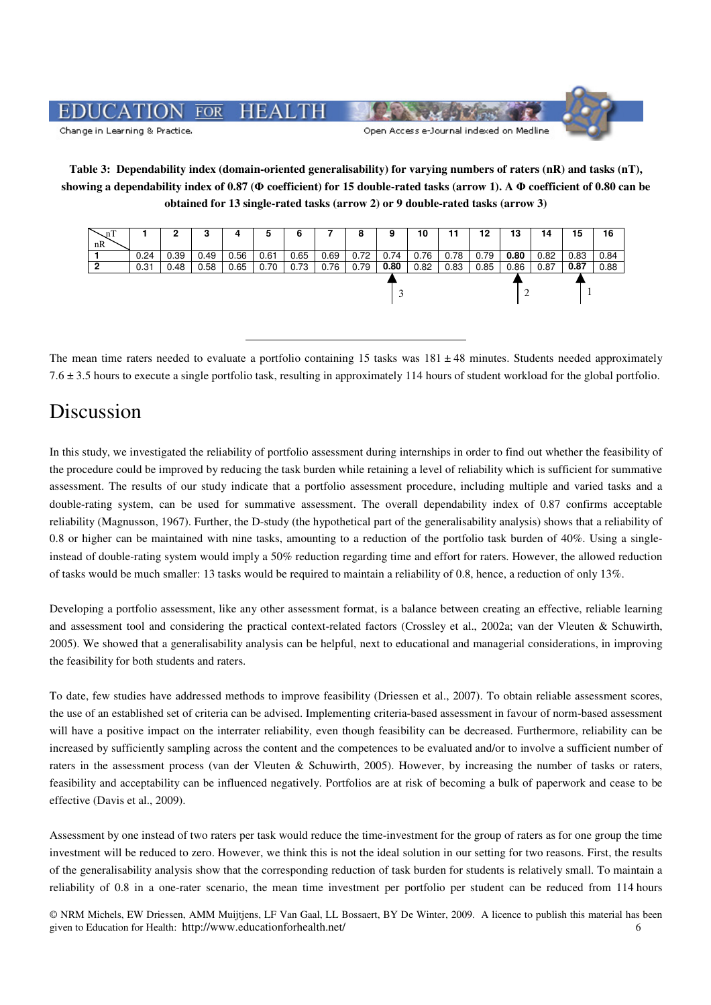

### **Table 3: Dependability index (domain-oriented generalisability) for varying numbers of raters (nR) and tasks (nT), showing a dependability index of 0.87 (**Φ **coefficient) for 15 double-rated tasks (arrow 1). A** Φ **coefficient of 0.80 can be obtained for 13 single-rated tasks (arrow 2) or 9 double-rated tasks (arrow 3)**

| .nT |      | -    | o<br>P | 4    | C    | o    |      | 8    | 9    | 10   |      | 12   | 13   | 14   | 15   | 16   |
|-----|------|------|--------|------|------|------|------|------|------|------|------|------|------|------|------|------|
| nR  |      |      |        |      |      |      |      |      |      |      |      |      |      |      |      |      |
|     | 0.24 | 0.39 | 0.49   | 0.56 | 0.61 | 0.65 | 0.69 | 0.72 | 0.74 | 0.76 | 0.78 | 0.79 | 0.80 | 0.82 | 0.83 | 0.84 |
|     | 0.31 | 0.48 | 0.58   | 0.65 | 0.70 | 0.73 | 0.76 | 0.79 | 0.80 | 0.82 | 0.83 | 0.85 | 0.86 | 0.87 | 0.87 | 0.88 |
|     |      |      |        |      |      |      |      |      |      |      |      |      |      |      |      |      |

The mean time raters needed to evaluate a portfolio containing 15 tasks was  $181 \pm 48$  minutes. Students needed approximately 7.6 ± 3.5 hours to execute a single portfolio task, resulting in approximately 114 hours of student workload for the global portfolio.

### Discussion

In this study, we investigated the reliability of portfolio assessment during internships in order to find out whether the feasibility of the procedure could be improved by reducing the task burden while retaining a level of reliability which is sufficient for summative assessment. The results of our study indicate that a portfolio assessment procedure, including multiple and varied tasks and a double-rating system, can be used for summative assessment. The overall dependability index of 0.87 confirms acceptable reliability (Magnusson, 1967). Further, the D-study (the hypothetical part of the generalisability analysis) shows that a reliability of 0.8 or higher can be maintained with nine tasks, amounting to a reduction of the portfolio task burden of 40%. Using a singleinstead of double-rating system would imply a 50% reduction regarding time and effort for raters. However, the allowed reduction of tasks would be much smaller: 13 tasks would be required to maintain a reliability of 0.8, hence, a reduction of only 13%.

Developing a portfolio assessment, like any other assessment format, is a balance between creating an effective, reliable learning and assessment tool and considering the practical context-related factors (Crossley et al., 2002a; van der Vleuten & Schuwirth, 2005). We showed that a generalisability analysis can be helpful, next to educational and managerial considerations, in improving the feasibility for both students and raters.

To date, few studies have addressed methods to improve feasibility (Driessen et al., 2007). To obtain reliable assessment scores, the use of an established set of criteria can be advised. Implementing criteria-based assessment in favour of norm-based assessment will have a positive impact on the interrater reliability, even though feasibility can be decreased. Furthermore, reliability can be increased by sufficiently sampling across the content and the competences to be evaluated and/or to involve a sufficient number of raters in the assessment process (van der Vleuten & Schuwirth, 2005). However, by increasing the number of tasks or raters, feasibility and acceptability can be influenced negatively. Portfolios are at risk of becoming a bulk of paperwork and cease to be effective (Davis et al., 2009).

Assessment by one instead of two raters per task would reduce the time-investment for the group of raters as for one group the time investment will be reduced to zero. However, we think this is not the ideal solution in our setting for two reasons. First, the results of the generalisability analysis show that the corresponding reduction of task burden for students is relatively small. To maintain a reliability of 0.8 in a one-rater scenario, the mean time investment per portfolio per student can be reduced from 114 hours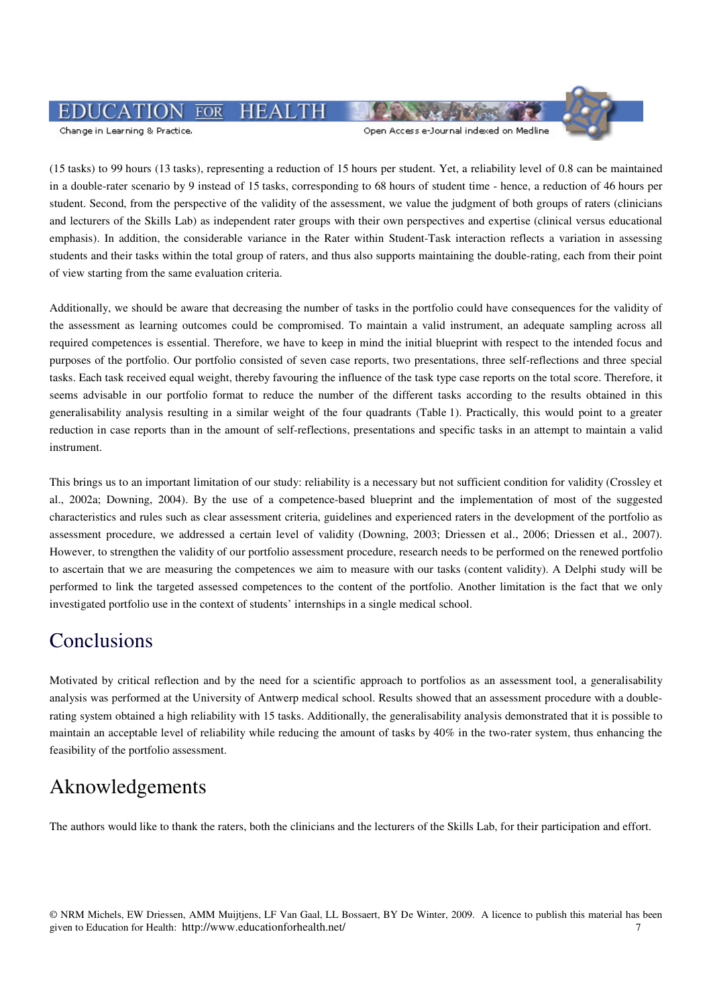#### **HEALTH**  $\overline{FOR}$ JCATIC

Change in Learning & Practice.

Open Access e-Journal indexed on Medline

(15 tasks) to 99 hours (13 tasks), representing a reduction of 15 hours per student. Yet, a reliability level of 0.8 can be maintained in a double-rater scenario by 9 instead of 15 tasks, corresponding to 68 hours of student time - hence, a reduction of 46 hours per student. Second, from the perspective of the validity of the assessment, we value the judgment of both groups of raters (clinicians and lecturers of the Skills Lab) as independent rater groups with their own perspectives and expertise (clinical versus educational emphasis). In addition, the considerable variance in the Rater within Student-Task interaction reflects a variation in assessing students and their tasks within the total group of raters, and thus also supports maintaining the double-rating, each from their point of view starting from the same evaluation criteria.

Additionally, we should be aware that decreasing the number of tasks in the portfolio could have consequences for the validity of the assessment as learning outcomes could be compromised. To maintain a valid instrument, an adequate sampling across all required competences is essential. Therefore, we have to keep in mind the initial blueprint with respect to the intended focus and purposes of the portfolio. Our portfolio consisted of seven case reports, two presentations, three self-reflections and three special tasks. Each task received equal weight, thereby favouring the influence of the task type case reports on the total score. Therefore, it seems advisable in our portfolio format to reduce the number of the different tasks according to the results obtained in this generalisability analysis resulting in a similar weight of the four quadrants (Table 1). Practically, this would point to a greater reduction in case reports than in the amount of self-reflections, presentations and specific tasks in an attempt to maintain a valid instrument.

This brings us to an important limitation of our study: reliability is a necessary but not sufficient condition for validity (Crossley et al., 2002a; Downing, 2004). By the use of a competence-based blueprint and the implementation of most of the suggested characteristics and rules such as clear assessment criteria, guidelines and experienced raters in the development of the portfolio as assessment procedure, we addressed a certain level of validity (Downing, 2003; Driessen et al., 2006; Driessen et al., 2007). However, to strengthen the validity of our portfolio assessment procedure, research needs to be performed on the renewed portfolio to ascertain that we are measuring the competences we aim to measure with our tasks (content validity). A Delphi study will be performed to link the targeted assessed competences to the content of the portfolio. Another limitation is the fact that we only investigated portfolio use in the context of students' internships in a single medical school.

### Conclusions

Motivated by critical reflection and by the need for a scientific approach to portfolios as an assessment tool, a generalisability analysis was performed at the University of Antwerp medical school. Results showed that an assessment procedure with a doublerating system obtained a high reliability with 15 tasks. Additionally, the generalisability analysis demonstrated that it is possible to maintain an acceptable level of reliability while reducing the amount of tasks by 40% in the two-rater system, thus enhancing the feasibility of the portfolio assessment.

## Aknowledgements

The authors would like to thank the raters, both the clinicians and the lecturers of the Skills Lab, for their participation and effort.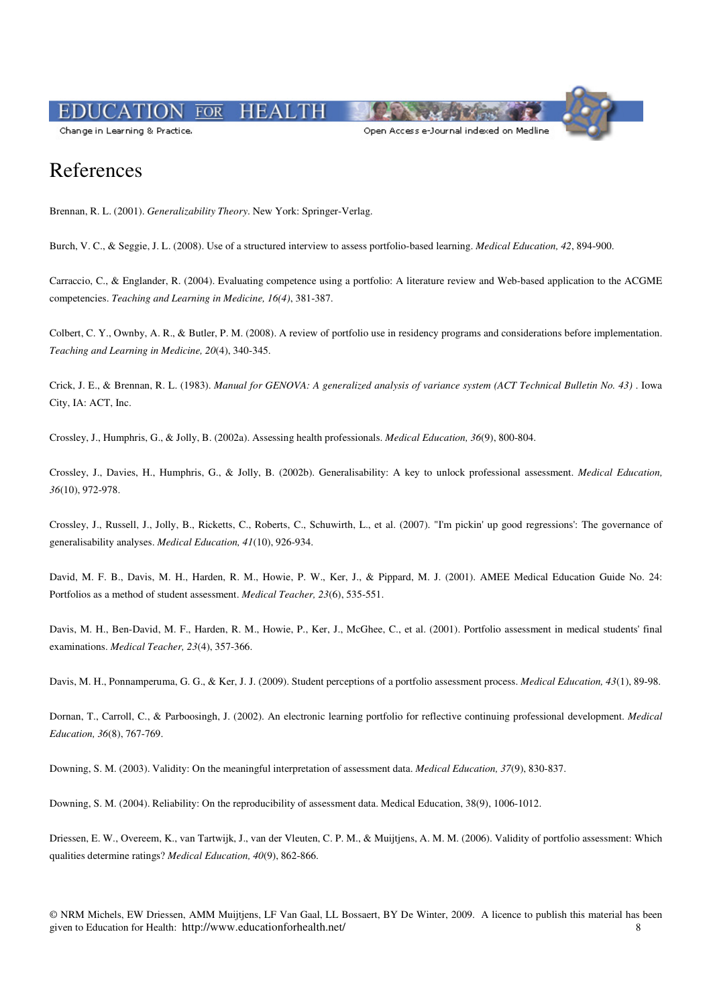#### **HEALT**  $\overline{FOR}$

Change in Learning & Practice.

Open Access e-Journal indexed on Medline



### References

Brennan, R. L. (2001). *Generalizability Theory*. New York: Springer-Verlag.

Burch, V. C., & Seggie, J. L. (2008). Use of a structured interview to assess portfolio-based learning. *Medical Education, 42*, 894-900.

Carraccio, C., & Englander, R. (2004). Evaluating competence using a portfolio: A literature review and Web-based application to the ACGME competencies. *Teaching and Learning in Medicine, 16(4)*, 381-387.

Colbert, C. Y., Ownby, A. R., & Butler, P. M. (2008). A review of portfolio use in residency programs and considerations before implementation. *Teaching and Learning in Medicine, 20*(4), 340-345.

Crick, J. E., & Brennan, R. L. (1983). *Manual for GENOVA: A generalized analysis of variance system (ACT Technical Bulletin No. 43)* . Iowa City, IA: ACT, Inc.

Crossley, J., Humphris, G., & Jolly, B. (2002a). Assessing health professionals. *Medical Education, 36*(9), 800-804.

Crossley, J., Davies, H., Humphris, G., & Jolly, B. (2002b). Generalisability: A key to unlock professional assessment. *Medical Education, 36*(10), 972-978.

Crossley, J., Russell, J., Jolly, B., Ricketts, C., Roberts, C., Schuwirth, L., et al. (2007). "I'm pickin' up good regressions': The governance of generalisability analyses. *Medical Education, 41*(10), 926-934.

David, M. F. B., Davis, M. H., Harden, R. M., Howie, P. W., Ker, J., & Pippard, M. J. (2001). AMEE Medical Education Guide No. 24: Portfolios as a method of student assessment. *Medical Teacher, 23*(6), 535-551.

Davis, M. H., Ben-David, M. F., Harden, R. M., Howie, P., Ker, J., McGhee, C., et al. (2001). Portfolio assessment in medical students' final examinations. *Medical Teacher, 23*(4), 357-366.

Davis, M. H., Ponnamperuma, G. G., & Ker, J. J. (2009). Student perceptions of a portfolio assessment process. *Medical Education, 43*(1), 89-98.

Dornan, T., Carroll, C., & Parboosingh, J. (2002). An electronic learning portfolio for reflective continuing professional development. *Medical Education, 36*(8), 767-769.

Downing, S. M. (2003). Validity: On the meaningful interpretation of assessment data. *Medical Education, 37*(9), 830-837.

Downing, S. M. (2004). Reliability: On the reproducibility of assessment data. Medical Education, 38(9), 1006-1012.

Driessen, E. W., Overeem, K., van Tartwijk, J., van der Vleuten, C. P. M., & Muijtjens, A. M. M. (2006). Validity of portfolio assessment: Which qualities determine ratings? *Medical Education, 40*(9), 862-866.